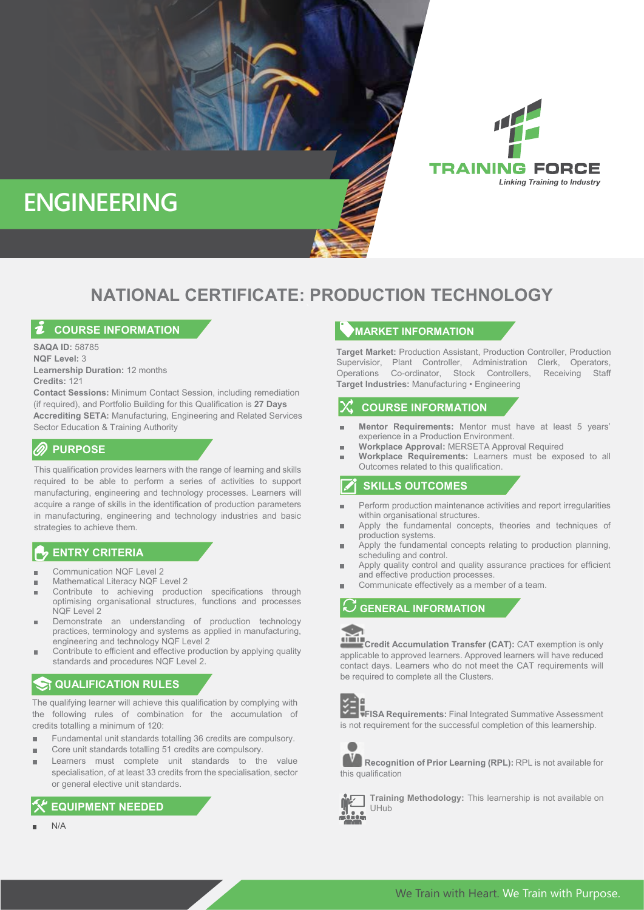



# **NATIONAL CERTIFICATE: PRODUCTION TECHNOLOGY**

## **COURSE INFORMATION**

**SAQA ID:** 58785 **NQF Level:** 3 **Learnership Duration:** 12 months **Credits:** 121

**Contact Sessions:** Minimum Contact Session, including remediation (if required), and Portfolio Building for this Qualification is **27 Days Accrediting SETA:** Manufacturing, Engineering and Related Services Sector Education & Training Authority

# **PURPOSE**

This qualification provides learners with the range of learning and skills required to be able to perform a series of activities to support manufacturing, engineering and technology processes. Learners will acquire a range of skills in the identification of production parameters in manufacturing, engineering and technology industries and basic strategies to achieve them.

### **ENTRY CRITERIA**

- Communication NQF Level 2
- Mathematical Literacy NQF Level 2
- Contribute to achieving production specifications through optimising organisational structures, functions and processes  $NOF$  Level 2
- Demonstrate an understanding of production technology practices, terminology and systems as applied in manufacturing, engineering and technology NQF Level 2
- Contribute to efficient and effective production by applying quality standards and procedures NQF Level 2.

# **R** QUALIFICATION RULES

The qualifying learner will achieve this qualification by complying with the following rules of combination for the accumulation of credits totalling a minimum of 120:

- Fundamental unit standards totalling 36 credits are compulsory.
- Core unit standards totalling 51 credits are compulsory.
- Learners must complete unit standards to the value specialisation, of at least 33 credits from the specialisation, sector or general elective unit standards.

# **EQUIPMENT NEEDED**

N/A

#### **MARKET INFORMATION**

**Target Market:** Production Assistant, Production Controller, Production Supervisior, Plant Controller, Administration Clerk, Operators, Operations Co-ordinator, Stock Controllers, Receiving Staff **Target Industries:** Manufacturing • Engineering

# **COURSE INFORMATION**

- **Mentor Requirements:** Mentor must have at least 5 years' experience in a Production Environment.
- **Workplace Approval:** MERSETA Approval Required
- **Workplace Requirements:** Learners must be exposed to all × Outcomes related to this qualification.

# **SKILLS OUTCOMES**

- Perform production maintenance activities and report irregularities within organisational structures.
- Apply the fundamental concepts, theories and techniques of production systems.
- Apply the fundamental concepts relating to production planning, scheduling and control.
- Apply quality control and quality assurance practices for efficient and effective production processes.
- Communicate effectively as a member of a team.

### **GENERAL INFORMATION**

**Credit Accumulation Transfer (CAT):** CAT exemption is only applicable to approved learners. Approved learners will have reduced contact days. Learners who do not meet the CAT requirements will be required to complete all the Clusters.



**FISA Requirements:** Final Integrated Summative Assessment is not requirement for the successful completion of this learnership.



**Recognition of Prior Learning (RPL):** RPL is not available for this qualification



**Training Methodology:** This learnership is not available on UHub